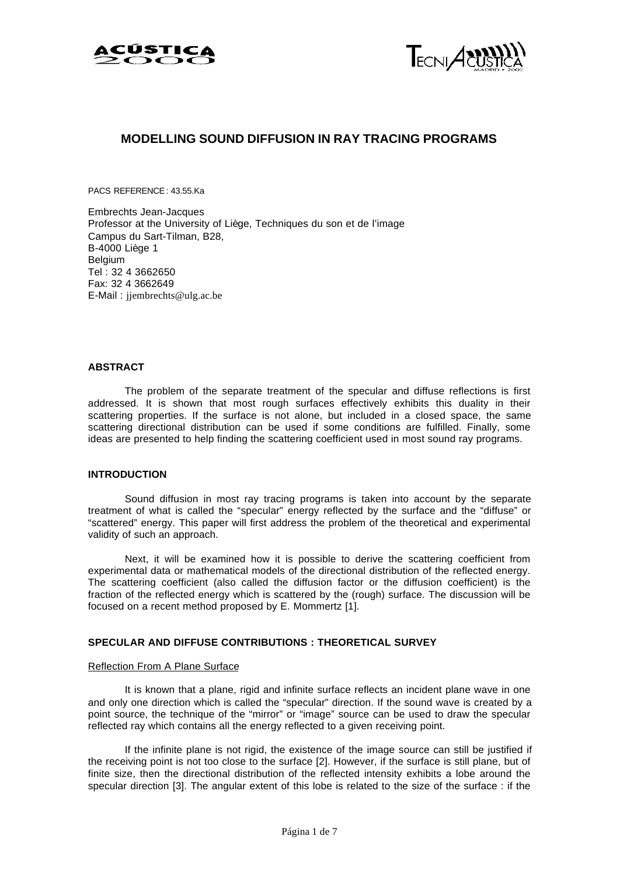



## **MODELLING SOUND DIFFUSION IN RAY TRACING PROGRAMS**

PACS REFERENCE : 43.55.Ka

Embrechts Jean-Jacques Professor at the University of Liège, Techniques du son et de l'image Campus du Sart-Tilman, B28, B-4000 Liège 1 Belgium Tel : 32 4 3662650 Fax: 32 4 3662649 E-Mail : jjembrechts@ulg.ac.be

#### **ABSTRACT**

The problem of the separate treatment of the specular and diffuse reflections is first addressed. It is shown that most rough surfaces effectively exhibits this duality in their scattering properties. If the surface is not alone, but included in a closed space, the same scattering directional distribution can be used if some conditions are fulfilled. Finally, some ideas are presented to help finding the scattering coefficient used in most sound ray programs.

## **INTRODUCTION**

Sound diffusion in most ray tracing programs is taken into account by the separate treatment of what is called the "specular" energy reflected by the surface and the "diffuse" or "scattered" energy. This paper will first address the problem of the theoretical and experimental validity of such an approach.

Next, it will be examined how it is possible to derive the scattering coefficient from experimental data or mathematical models of the directional distribution of the reflected energy. The scattering coefficient (also called the diffusion factor or the diffusion coefficient) is the fraction of the reflected energy which is scattered by the (rough) surface. The discussion will be focused on a recent method proposed by E. Mommertz [1].

## **SPECULAR AND DIFFUSE CONTRIBUTIONS : THEORETICAL SURVEY**

#### Reflection From A Plane Surface

It is known that a plane, rigid and infinite surface reflects an incident plane wave in one and only one direction which is called the "specular" direction. If the sound wave is created by a point source, the technique of the "mirror" or "image" source can be used to draw the specular reflected ray which contains all the energy reflected to a given receiving point.

If the infinite plane is not rigid, the existence of the image source can still be justified if the receiving point is not too close to the surface [2]. However, if the surface is still plane, but of finite size, then the directional distribution of the reflected intensity exhibits a lobe around the specular direction [3]. The angular extent of this lobe is related to the size of the surface : if the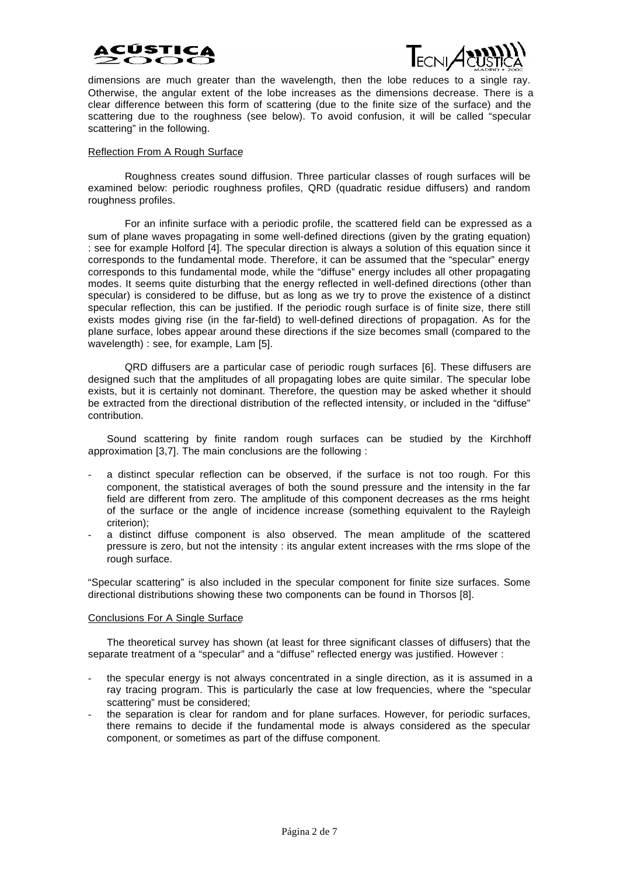



dimensions are much greater than the wavelength, then the lobe reduces to a single ray. Otherwise, the angular extent of the lobe increases as the dimensions decrease. There is a clear difference between this form of scattering (due to the finite size of the surface) and the scattering due to the roughness (see below). To avoid confusion, it will be called "specular scattering" in the following.

## Reflection From A Rough Surface

Roughness creates sound diffusion. Three particular classes of rough surfaces will be examined below: periodic roughness profiles, QRD (quadratic residue diffusers) and random roughness profiles.

For an infinite surface with a periodic profile, the scattered field can be expressed as a sum of plane waves propagating in some well-defined directions (given by the grating equation) : see for example Holford [4]. The specular direction is always a solution of this equation since it corresponds to the fundamental mode. Therefore, it can be assumed that the "specular" energy corresponds to this fundamental mode, while the "diffuse" energy includes all other propagating modes. It seems quite disturbing that the energy reflected in well-defined directions (other than specular) is considered to be diffuse, but as long as we try to prove the existence of a distinct specular reflection, this can be justified. If the periodic rough surface is of finite size, there still exists modes giving rise (in the far-field) to well-defined directions of propagation. As for the plane surface, lobes appear around these directions if the size becomes small (compared to the wavelength) : see, for example, Lam [5].

QRD diffusers are a particular case of periodic rough surfaces [6]. These diffusers are designed such that the amplitudes of all propagating lobes are quite similar. The specular lobe exists, but it is certainly not dominant. Therefore, the question may be asked whether it should be extracted from the directional distribution of the reflected intensity, or included in the "diffuse" contribution.

Sound scattering by finite random rough surfaces can be studied by the Kirchhoff approximation [3,7]. The main conclusions are the following :

- a distinct specular reflection can be observed, if the surface is not too rough. For this component, the statistical averages of both the sound pressure and the intensity in the far field are different from zero. The amplitude of this component decreases as the rms height of the surface or the angle of incidence increase (something equivalent to the Rayleigh criterion);
- a distinct diffuse component is also observed. The mean amplitude of the scattered pressure is zero, but not the intensity : its angular extent increases with the rms slope of the rough surface.

"Specular scattering" is also included in the specular component for finite size surfaces. Some directional distributions showing these two components can be found in Thorsos [8].

#### Conclusions For A Single Surface

The theoretical survey has shown (at least for three significant classes of diffusers) that the separate treatment of a "specular" and a "diffuse" reflected energy was justified. However :

- the specular energy is not always concentrated in a single direction, as it is assumed in a ray tracing program. This is particularly the case at low frequencies, where the "specular scattering" must be considered;
- the separation is clear for random and for plane surfaces. However, for periodic surfaces, there remains to decide if the fundamental mode is always considered as the specular component, or sometimes as part of the diffuse component.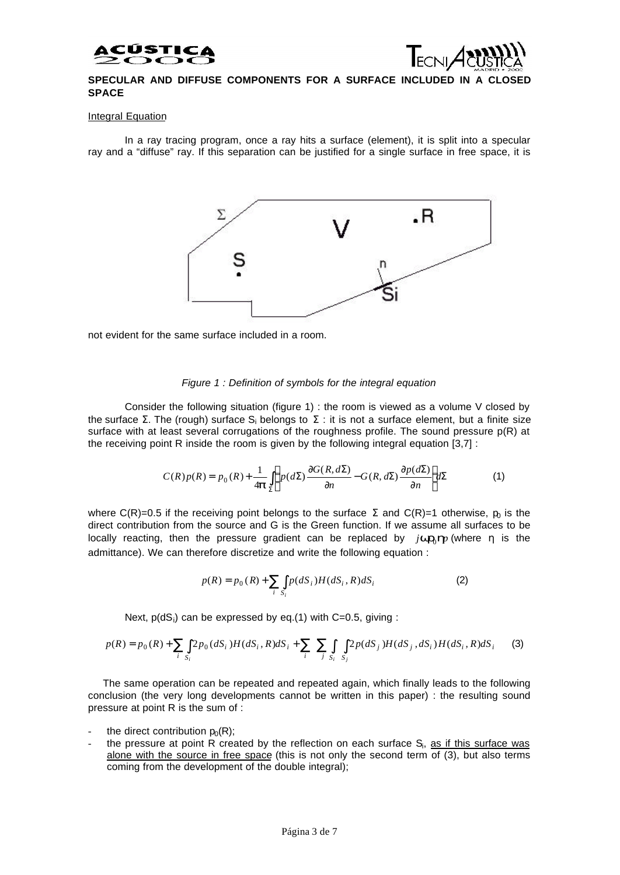



## SPECULAR AND DIFFUSE COMPONENTS FOR A SURFACE INCLUDED IN A CLO **SPACE**

#### Integral Equation

In a ray tracing program, once a ray hits a surface (element), it is split into a specular ray and a "diffuse" ray. If this separation can be justified for a single surface in free space, it is



not evident for the same surface included in a room.

#### *Figure 1 : Definition of symbols for the integral equation*

Consider the following situation (figure 1) : the room is viewed as a volume V closed by the surface Σ. The (rough) surface S<sub>i</sub> belongs to Σ : it is not a surface element, but a finite size surface with at least several corrugations of the roughness profile. The sound pressure  $p(R)$  at the receiving point R inside the room is given by the following integral equation [3,7] :

$$
C(R)p(R) = p_0(R) + \frac{1}{4\mathbf{p}} \int_{\Sigma} \left( p(d\Sigma) \frac{\partial G(R, d\Sigma)}{\partial n} - G(R, d\Sigma) \frac{\partial p(d\Sigma)}{\partial n} \right) d\Sigma
$$
 (1)

where C(R)=0.5 if the receiving point belongs to the surface  $\Sigma$  and C(R)=1 otherwise,  $p_0$  is the direct contribution from the source and G is the Green function. If we assume all surfaces to be locally reacting, then the pressure gradient can be replaced by  $j$ *wr*<sub>0</sub> $\bm{h}$ <sup>*p*</sup> (where η is the admittance). We can therefore discretize and write the following equation :

$$
p(R) = p_0(R) + \sum_{i} \int_{S_i} p(dS_i) H(dS_i, R) dS_i
$$
 (2)

Next,  $p(dS_i)$  can be expressed by eq.(1) with C=0.5, giving :

$$
p(R) = p_0(R) + \sum_{i} \int_{S_i} 2p_0(dS_i)H(dS_i, R)dS_i + \sum_{i} \sum_{j} \int_{S_i} 2p(dS_j)H(dS_j, dS_i)H(dS_i, R)dS_i
$$
 (3)

The same operation can be repeated and repeated again, which finally leads to the following conclusion (the very long developments cannot be written in this paper) : the resulting sound pressure at point R is the sum of :

- the direct contribution  $p_0(R)$ ;
- the pressure at point R created by the reflection on each surface S<sub>i</sub>, <u>as if this surface was</u> alone with the source in free space (this is not only the second term of (3), but also terms coming from the development of the double integral);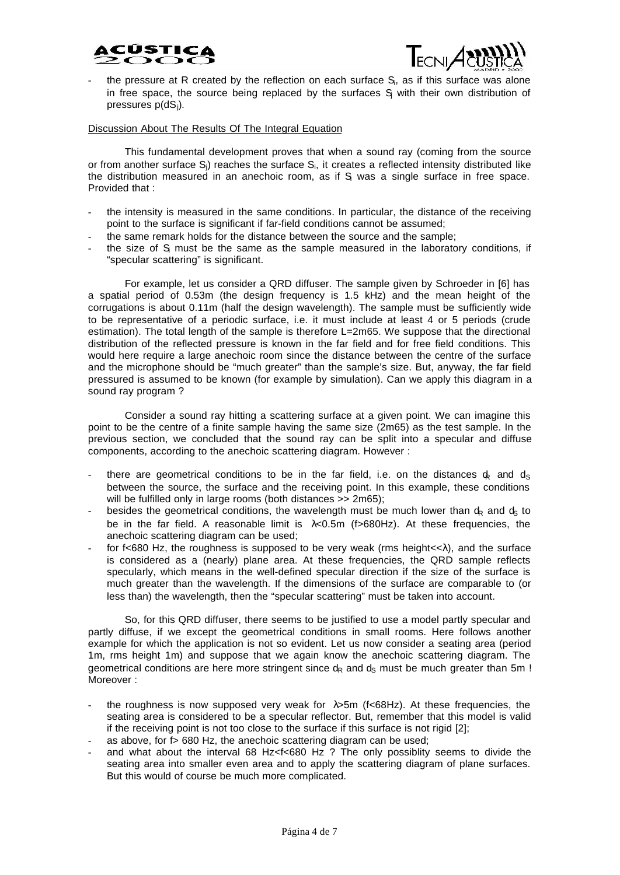



- the pressure at R created by the reflection on each surface S<sub>i</sub>, as if this surface was alone in free space, the source being replaced by the surfaces  $S_j$  with their own distribution of pressures p(dSj).

#### Discussion About The Results Of The Integral Equation

This fundamental development proves that when a sound ray (coming from the source or from another surface  $\rm S_j$ ) reaches the surface  $\rm S_i$ , it creates a reflected intensity distributed like the distribution measured in an anechoic room, as if S was a single surface in free space. Provided that :

- the intensity is measured in the same conditions. In particular, the distance of the receiving point to the surface is significant if far-field conditions cannot be assumed;
- the same remark holds for the distance between the source and the sample;
- the size of S must be the same as the sample measured in the laboratory conditions, if "specular scattering" is significant.

For example, let us consider a QRD diffuser. The sample given by Schroeder in [6] has a spatial period of 0.53m (the design frequency is 1.5 kHz) and the mean height of the corrugations is about 0.11m (half the design wavelength). The sample must be sufficiently wide to be representative of a periodic surface, i.e. it must include at least 4 or 5 periods (crude estimation). The total length of the sample is therefore L=2m65. We suppose that the directional distribution of the reflected pressure is known in the far field and for free field conditions. This would here require a large anechoic room since the distance between the centre of the surface and the microphone should be "much greater" than the sample's size. But, anyway, the far field pressured is assumed to be known (for example by simulation). Can we apply this diagram in a sound ray program ?

Consider a sound ray hitting a scattering surface at a given point. We can imagine this point to be the centre of a finite sample having the same size (2m65) as the test sample. In the previous section, we concluded that the sound ray can be split into a specular and diffuse components, according to the anechoic scattering diagram. However :

- there are geometrical conditions to be in the far field, i.e. on the distances  $\phi$  and  $\phi$ between the source, the surface and the receiving point. In this example, these conditions will be fulfilled only in large rooms (both distances >> 2m65);
- besides the geometrical conditions, the wavelength must be much lower than  $d_R$  and  $d_S$  to be in the far field. A reasonable limit is  $\lambda$ <0.5m (f>680Hz). At these frequencies, the anechoic scattering diagram can be used;
- for f<680 Hz, the roughness is supposed to be very weak (rms height $\langle \langle \cdot \rangle$ ), and the surface is considered as a (nearly) plane area. At these frequencies, the QRD sample reflects specularly, which means in the well-defined specular direction if the size of the surface is much greater than the wavelength. If the dimensions of the surface are comparable to (or less than) the wavelength, then the "specular scattering" must be taken into account.

So, for this QRD diffuser, there seems to be justified to use a model partly specular and partly diffuse, if we except the geometrical conditions in small rooms. Here follows another example for which the application is not so evident. Let us now consider a seating area (period 1m, rms height 1m) and suppose that we again know the anechoic scattering diagram. The geometrical conditions are here more stringent since  $d_R$  and  $d_S$  must be much greater than 5m ! Moreover :

- the roughness is now supposed very weak for  $\lambda$ >5m (f<68Hz). At these frequencies, the seating area is considered to be a specular reflector. But, remember that this model is valid if the receiving point is not too close to the surface if this surface is not rigid [2];
- as above, for f > 680 Hz, the anechoic scattering diagram can be used;
- and what about the interval 68 Hz<f<680 Hz ? The only possiblity seems to divide the seating area into smaller even area and to apply the scattering diagram of plane surfaces. But this would of course be much more complicated.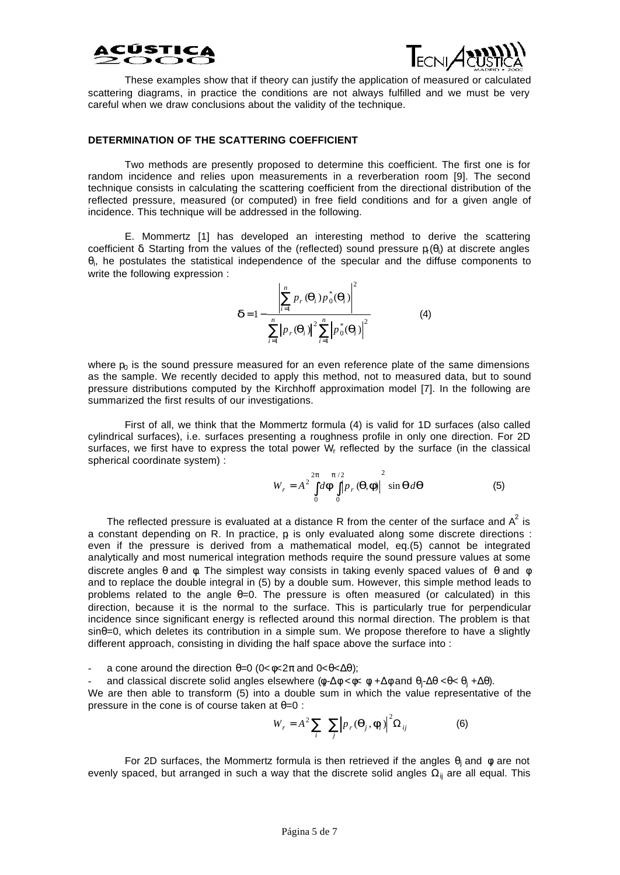# CÚSTIC



These examples show that if theory can justify the application of measured or calculated scattering diagrams, in practice the conditions are not always fulfilled and we must be very careful when we draw conclusions about the validity of the technique.

## **DETERMINATION OF THE SCATTERING COEFFICIENT**

Two methods are presently proposed to determine this coefficient. The first one is for random incidence and relies upon measurements in a reverberation room [9]. The second technique consists in calculating the scattering coefficient from the directional distribution of the reflected pressure, measured (or computed) in free field conditions and for a given angle of incidence. This technique will be addressed in the following.

E. Mommertz [1] has developed an interesting method to derive the scattering coefficient  $\delta$ . Starting from the values of the (reflected) sound pressure  $p_i(\theta_i)$  at discrete angles  $\theta$ <sub>i</sub>, he postulates the statistical independence of the specular and the diffuse components to write the following expression :

$$
\boldsymbol{d} = 1 - \frac{\left| \sum_{i=1}^{n} p_r(\boldsymbol{q}_i) p_0^*(\boldsymbol{q}_i) \right|^2}{\sum_{i=1}^{n} \left| p_r(\boldsymbol{q}_i) \right|^2 \sum_{i=1}^{n} \left| p_0^*(\boldsymbol{q}_i) \right|^2}
$$
(4)

where  $p_0$  is the sound pressure measured for an even reference plate of the same dimensions as the sample. We recently decided to apply this method, not to measured data, but to sound pressure distributions computed by the Kirchhoff approximation model [7]. In the following are summarized the first results of our investigations.

First of all, we think that the Mommertz formula (4) is valid for 1D surfaces (also called cylindrical surfaces), i.e. surfaces presenting a roughness profile in only one direction. For 2D surfaces, we first have to express the total power  $W_f$  reflected by the surface (in the classical spherical coordinate system) :

$$
W_r = A^2 \int_0^{2p} d\boldsymbol{F} \int_0^{p/2} |p_r(\boldsymbol{q}, \boldsymbol{f})|^2 \sin \boldsymbol{q} d\boldsymbol{q}
$$
 (5)

The reflected pressure is evaluated at a distance R from the center of the surface and  $A^2$  is a constant depending on R. In practice,  ${\sf p}$  is only evaluated along some discrete directions : even if the pressure is derived from a mathematical model, eq.(5) cannot be integrated analytically and most numerical integration methods require the sound pressure values at some discrete angles  $\theta$  and  $\phi$ . The simplest way consists in taking evenly spaced values of  $\theta$  and  $\phi$ and to replace the double integral in (5) by a double sum. However, this simple method leads to problems related to the angle  $\theta$ =0. The pressure is often measured (or calculated) in this direction, because it is the normal to the surface. This is particularly true for perpendicular incidence since significant energy is reflected around this normal direction. The problem is that  $sin\theta=0$ , which deletes its contribution in a simple sum. We propose therefore to have a slightly different approach, consisting in dividing the half space above the surface into :

a cone around the direction  $\theta = 0$  (0< $\phi < 2\pi$  and 0< $\theta < \Delta\theta$ );

and classical discrete solid angles elsewhere (φ-Δφ <φ< φ +Δφ and θ<sub>j</sub>-Δθ <θ< θ<sub>j</sub> +Δθ).

We are then able to transform (5) into a double sum in which the value representative of the pressure in the cone is of course taken at  $\theta = 0$ :

$$
W_r = A^2 \sum_i \sum_j \left| p_r(\mathbf{q}_j, \mathbf{f}_i) \right|^2 \Omega_{ij}
$$
 (6)

For 2D surfaces, the Mommertz formula is then retrieved if the angles  $\theta_j$  and  $\phi$  are not evenly spaced, but arranged in such a way that the discrete solid angles  $\Omega_{ii}$  are all equal. This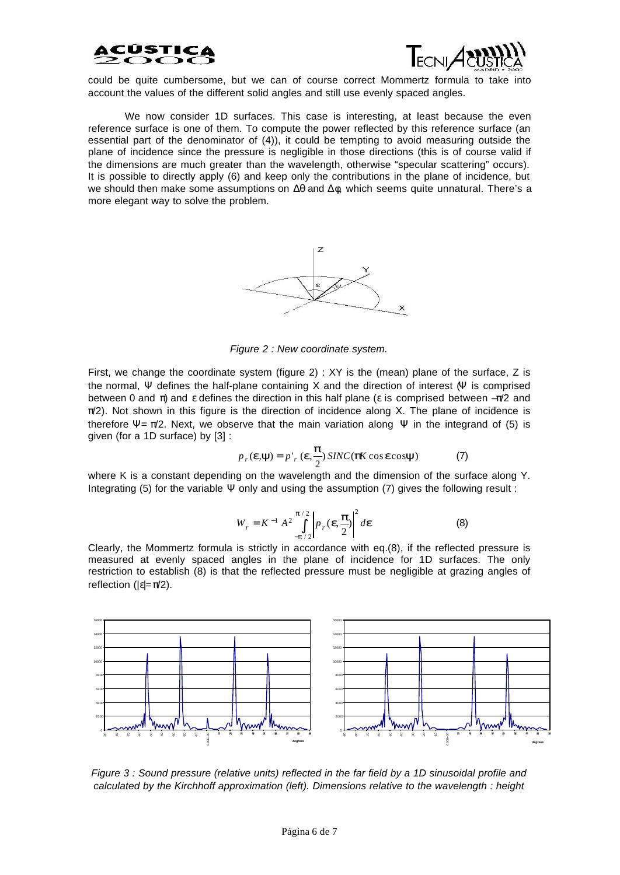



could be quite cumbersome, but we can of course correct Mommertz formula to take into account the values of the different solid angles and still use evenly spaced angles.

We now consider 1D surfaces. This case is interesting, at least because the even reference surface is one of them. To compute the power reflected by this reference surface (an essential part of the denominator of (4)), it could be tempting to avoid measuring outside the plane of incidence since the pressure is negligible in those directions (this is of course valid if the dimensions are much greater than the wavelength, otherwise "specular scattering" occurs). It is possible to directly apply (6) and keep only the contributions in the plane of incidence, but we should then make some assumptions on  $Δθ$  and  $Δφ$ , which seems quite unnatural. There's a more elegant way to solve the problem.



*Figure 2 : New coordinate system.*

First, we change the coordinate system (figure 2) : XY is the (mean) plane of the surface, Z is the normal, Ψ defines the half-plane containing X and the direction of interest (Ψ is comprised between 0 and  $\pi$ ) and  $\varepsilon$  defines the direction in this half plane ( $\varepsilon$  is comprised between  $-\pi/2$  and  $\pi/2$ ). Not shown in this figure is the direction of incidence along X. The plane of incidence is therefore  $\Psi = \pi/2$ . Next, we observe that the main variation along  $\Psi$  in the integrand of (5) is given (for a 1D surface) by [3] :

$$
p_r(\mathbf{e}, \mathbf{y}) = p'_r(\mathbf{e}, \frac{\mathbf{p}}{2}) \, \text{SINC}(\mathbf{p} \mathbf{K} \cos \mathbf{e} \cos \mathbf{y}) \tag{7}
$$

where K is a constant depending on the wavelength and the dimension of the surface along Y. Integrating (5) for the variable  $\Psi$  only and using the assumption (7) gives the following result :

$$
W_r = K^{-1} A^2 \int_{-P/2}^{P/2} \left| p_r(\mathbf{e}, \frac{\mathbf{p}}{2}) \right|^2 d\mathbf{e}
$$
 (8)

Clearly, the Mommertz formula is strictly in accordance with eq.(8), if the reflected pressure is measured at evenly spaced angles in the plane of incidence for 1D surfaces. The only restriction to establish (8) is that the reflected pressure must be negligible at grazing angles of reflection ( $|\varepsilon| = π/2$ ).



*Figure 3 : Sound pressure (relative units) reflected in the far field by a 1D sinusoidal profile and calculated by the Kirchhoff approximation (left). Dimensions relative to the wavelength : height*